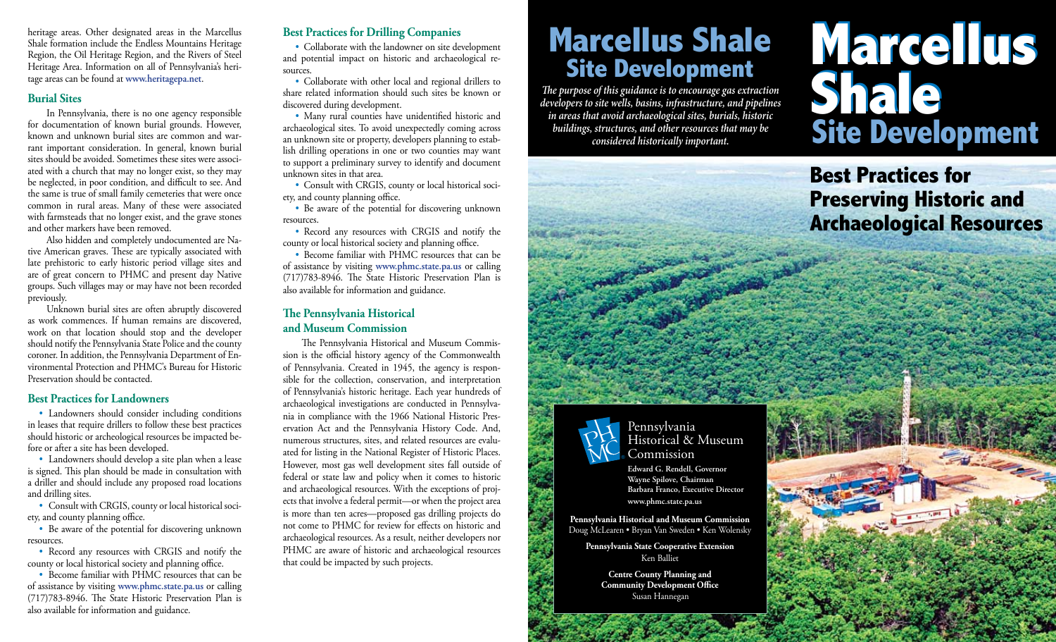heritage areas. Other designated areas in the Marcellus Shale formation include the Endless Mountains Heritage Region, the Oil Heritage Region, and the Rivers of Steel Heritage Area. Information on all of Pennsylvania's heritage areas can be found at **www.heritagepa.net**.

### **Burial Sites**

In Pennsylvania, there is no one agency responsible for documentation of known burial grounds. However, known and unknown burial sites are common and warrant important consideration. In general, known burial sites should be avoided. Sometimes these sites were associated with a church that may no longer exist, so they may be neglected, in poor condition, and difficult to see. And the same is true of small family cemeteries that were once common in rural areas. Many of these were associated with farmsteads that no longer exist, and the grave stones and other markers have been removed.

Also hidden and completely undocumented are Native American graves. These are typically associated with late prehistoric to early historic period village sites and are of great concern to PHMC and present day Native groups. Such villages may or may have not been recorded previously.

Unknown burial sites are often abruptly discovered as work commences. If human remains are discovered, work on that location should stop and the developer should notify the Pennsylvania State Police and the county coroner. In addition, the Pennsylvania Department of Environmental Protection and PHMC's Bureau for Historic Preservation should be contacted.

### **Best Practices for Landowners**

• Landowners should consider including conditions in leases that require drillers to follow these best practices should historic or archeological resources be impacted before or after a site has been developed.

• Landowners should develop a site plan when a lease is signed. This plan should be made in consultation with a driller and should include any proposed road locations and drilling sites.

• Consult with CRGIS, county or local historical society, and county planning office.

• Be aware of the potential for discovering unknown resources.

• Record any resources with CRGIS and notify the county or local historical society and planning office.

• Become familiar with PHMC resources that can be of assistance by visiting **www.phmc.state.pa.us** or calling (717)783-8946. The State Historic Preservation Plan is also available for information and guidance.

# **Best Practices for Drilling Companies**

• Collaborate with the landowner on site development and potential impact on historic and archaeological resources.

• Collaborate with other local and regional drillers to share related information should such sites be known or discovered during development.

• Many rural counties have unidentified historic and archaeological sites. To avoid unexpectedly coming across an unknown site or property, developers planning to establish drilling operations in one or two counties may want to support a preliminary survey to identify and document unknown sites in that area.

• Consult with CRGIS, county or local historical society, and county planning office.

• Be aware of the potential for discovering unknown resources.

• Record any resources with CRGIS and notify the county or local historical society and planning office.

• Become familiar with PHMC resources that can be of assistance by visiting **www.phmc.state.pa.us** or calling (717)783-8946. The State Historic Preservation Plan is also available for information and guidance.

# **The Pennsylvania Historical and Museum Commission**

The Pennsylvania Historical and Museum Commission is the official history agency of the Commonwealth of Pennsylvania. Created in 1945, the agency is responsible for the collection, conservation, and interpretation of Pennsylvania's historic heritage. Each year hundreds of archaeological investigations are conducted in Pennsylvania in compliance with the 1966 National Historic Preservation Act and the Pennsylvania History Code. And, numerous structures, sites, and related resources are evaluated for listing in the National Register of Historic Places. However, most gas well development sites fall outside of federal or state law and policy when it comes to historic and archaeological resources. With the exceptions of projects that involve a federal permit—or when the project area is more than ten acres—proposed gas drilling projects do not come to PHMC for review for effects on historic and archaeological resources. As a result, neither developers nor PHMC are aware of historic and archaeological resources that could be impacted by such projects.

# **Marcellus Shale<br>Site Development**

*The purpose of this guidance is to encourage gas extraction developers to site wells, basins, infrastructure, and pipelines in areas that avoid archaeological sites, burials, historic buildings, structures, and other resources that may be considered historically important.* 

# **Marcellus Site Development Marcellus Shale Site Development Shale**

**Best Practices for Preserving Historic and Archaeological Resources**



Pennsylvania Historical & Museum Commission

**Edward G. Rendell, Governor Wayne Spilove, Chairman Barbara Franco, Executive Director www.phmc.state.pa.us**

**Pennsylvania Historical and Museum Commission** Doug McLearen • Bryan Van Sweden • Ken Wolensky

**Pennsylvania State Cooperative Extension** Ken Balliet

> **Centre County Planning and Community Development Office**  Susan Hannegan